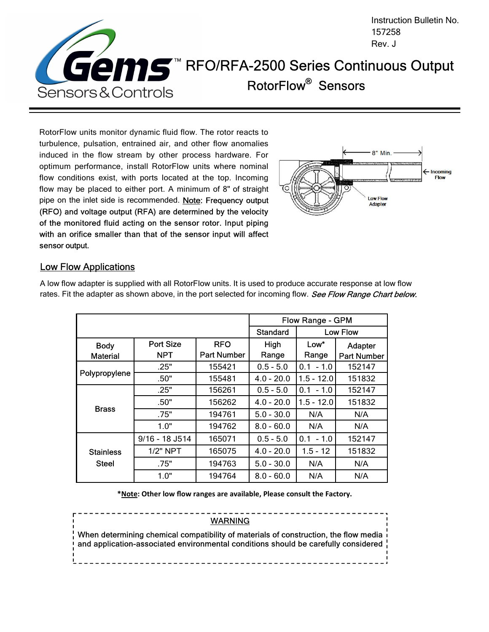

RotorFlow units monitor dynamic fluid flow. The rotor reacts to turbulence, pulsation, entrained air, and other flow anomalies induced in the flow stream by other process hardware. For optimum performance, install RotorFlow units where nominal flow conditions exist, with ports located at the top. Incoming flow may be placed to either port. A minimum of 8" of straight pipe on the inlet side is recommended. Note: Frequency output (RFO) and voltage output (RFA) are determined by the velocity of the monitored fluid acting on the sensor rotor. Input piping with an orifice smaller than that of the sensor input will affect sensor output.



#### Low Flow Applications

|                  |                  |                    | <b>Flow Range - GPM</b> |                 |                    |
|------------------|------------------|--------------------|-------------------------|-----------------|--------------------|
|                  |                  |                    | <b>Standard</b>         | <b>Low Flow</b> |                    |
| <b>Body</b>      | <b>Port Size</b> | <b>RFO</b>         | High                    | $Low*$          | Adapter            |
| <b>Material</b>  | <b>NPT</b>       | <b>Part Number</b> | Range                   | Range           | <b>Part Number</b> |
|                  | .25"             | 155421             | $0.5 - 5.0$             | $0.1 - 1.0$     | 152147             |
| Polypropylene    | .50"             | 155481             | $4.0 - 20.0$            | $1.5 - 12.0$    | 151832             |
| <b>Brass</b>     | .25"             | 156261             | $0.5 - 5.0$             | $0.1 - 1.0$     | 152147             |
|                  | .50"             | 156262             | $4.0 - 20.0$            | $1.5 - 12.0$    | 151832             |
|                  | .75"             | 194761             | $5.0 - 30.0$            | N/A             | N/A                |
|                  | 1.0"             | 194762             | $8.0 - 60.0$            | N/A             | N/A                |
|                  | 9/16 - 18 J514   | 165071             | $0.5 - 5.0$             | $0.1 - 1.0$     | 152147             |
| <b>Stainless</b> | 1/2" NPT         | 165075             | $4.0 - 20.0$            | $1.5 - 12$      | 151832             |
| <b>Steel</b>     | .75"             | 194763             | $5.0 - 30.0$            | N/A             | N/A                |
|                  | 1.0"             | 194764             | $8.0 - 60.0$            | N/A             | N/A                |

A low flow adapter is supplied with all RotorFlow units. It is used to produce accurate response at low flow rates. Fit the adapter as shown above, in the port selected for incoming flow. See Flow Range Chart below.

**\*Note: Other low flow ranges are available, Please consult the Factory.** 

WARNING When determining chemical compatibility of materials of construction, the flow media and application-associated environmental conditions should be carefully considered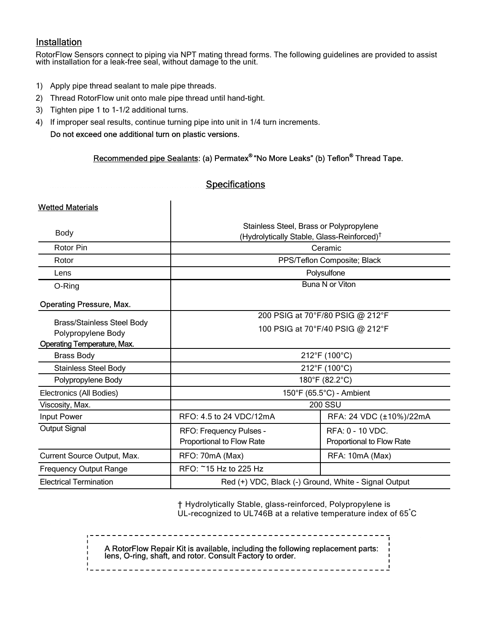### Installation

RotorFlow Sensors connect to piping via NPT mating thread forms. The following guidelines are provided to assist with installation for a leak-free seal, without damage to the unit.

- 1) Apply pipe thread sealant to male pipe threads.
- 2) Thread RotorFlow unit onto male pipe thread until hand-tight.
- 3) Tighten pipe 1 to 1-1/2 additional turns.
- 4) If improper seal results, continue turning pipe into unit in 1/4 turn increments.

Do not exceed one additional turn on plastic versions.

#### Recommended pipe Sealants: (a) Permatex® "No More Leaks" (b) Teflon<sup>®</sup> Thread Tape.

#### **Specifications**

| <b>Wetted Materials</b>                                 |                                                                                                   |                                                      |  |  |
|---------------------------------------------------------|---------------------------------------------------------------------------------------------------|------------------------------------------------------|--|--|
| <b>Body</b>                                             | Stainless Steel, Brass or Polypropylene<br>(Hydrolytically Stable, Glass-Reinforced) <sup>†</sup> |                                                      |  |  |
| Rotor Pin                                               | Ceramic                                                                                           |                                                      |  |  |
| Rotor                                                   | PPS/Teflon Composite; Black                                                                       |                                                      |  |  |
| Lens                                                    | Polysulfone                                                                                       |                                                      |  |  |
| O-Ring                                                  | Buna N or Viton                                                                                   |                                                      |  |  |
| <b>Operating Pressure, Max.</b>                         |                                                                                                   |                                                      |  |  |
|                                                         | 200 PSIG at 70°F/80 PSIG @ 212°F                                                                  |                                                      |  |  |
| <b>Brass/Stainless Steel Body</b><br>Polypropylene Body | 100 PSIG at 70°F/40 PSIG @ 212°F                                                                  |                                                      |  |  |
| <b>Operating Temperature, Max.</b>                      |                                                                                                   |                                                      |  |  |
| <b>Brass Body</b>                                       | 212°F (100°C)                                                                                     |                                                      |  |  |
| <b>Stainless Steel Body</b>                             | 212°F (100°C)                                                                                     |                                                      |  |  |
| Polypropylene Body                                      | 180°F (82.2°C)                                                                                    |                                                      |  |  |
| Electronics (All Bodies)                                | 150°F (65.5°C) - Ambient                                                                          |                                                      |  |  |
| Viscosity, Max.                                         | <b>200 SSU</b>                                                                                    |                                                      |  |  |
| Input Power                                             | RFO: 4.5 to 24 VDC/12mA                                                                           | RFA: 24 VDC (±10%)/22mA                              |  |  |
| <b>Output Signal</b>                                    | RFO: Frequency Pulses -<br>Proportional to Flow Rate                                              | <b>RFA: 0 - 10 VDC.</b><br>Proportional to Flow Rate |  |  |
| Current Source Output, Max.                             | RFO: 70mA (Max)                                                                                   | RFA: 10mA (Max)                                      |  |  |
| <b>Frequency Output Range</b>                           | RFO: ~15 Hz to 225 Hz                                                                             |                                                      |  |  |
| <b>Electrical Termination</b>                           | Red (+) VDC, Black (-) Ground, White - Signal Output                                              |                                                      |  |  |

† Hydrolytically Stable, glass-reinforced, Polypropylene is UL-recognized to UL746B at a relative temperature index of 65°C

A RotorFlow Repair Kit is available, including the following replacement parts: lens, O-ring, shaft, and rotor. Consult Factory to order.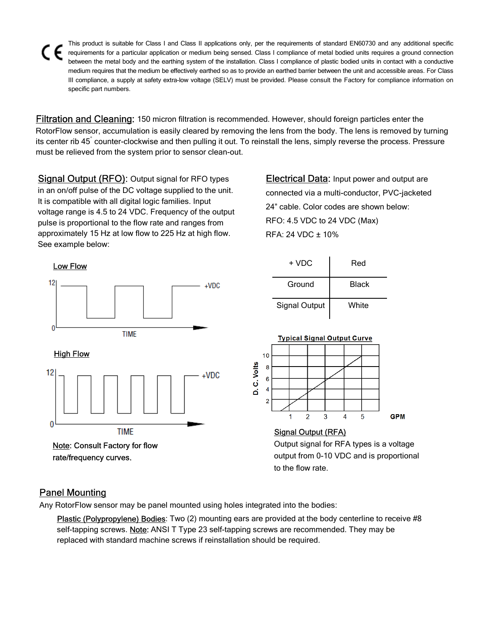This product is suitable for Class I and Class II applications only, per the requirements of standard EN60730 and any additional specific requirements for a particular application or medium being sensed. Class I compliance of metal bodied units requires a ground connection between the metal body and the earthing system of the installation. Class I compliance of plastic bodied units in contact with a conductive medium requires that the medium be effectively earthed so as to provide an earthed barrier between the unit and accessible areas. For Class III compliance, a supply at safety extra-low voltage (SELV) must be provided. Please consult the Factory for compliance information on specific part numbers.

Filtration and Cleaning: 150 micron filtration is recommended. However, should foreign particles enter the RotorFlow sensor, accumulation is easily cleared by removing the lens from the body. The lens is removed by turning its center rib 45° counter-clockwise and then pulling it out. To reinstall the lens, simply reverse the process. Pressure must be relieved from the system prior to sensor clean-out.

Signal Output (RFO): Output signal for RFO types in an on/off pulse of the DC voltage supplied to the unit. It is compatible with all digital logic families. Input voltage range is 4.5 to 24 VDC. Frequency of the output pulse is proportional to the flow rate and ranges from approximately 15 Hz at low flow to 225 Hz at high flow. See example below:

**Electrical Data:** Input power and output are connected via a multi-conductor, PVC-jacketed 24" cable. Color codes are shown below: RFO: 4.5 VDC to 24 VDC (Max) RFA: 24 VDC ± 10%



+ VDC Red Ground **Black** Signal Output | White



Output signal for RFA types is a voltage output from 0-10 VDC and is proportional to the flow rate.

# Panel Mounting

Any RotorFlow sensor may be panel mounted using holes integrated into the bodies:

Plastic (Polypropylene) Bodies: Two (2) mounting ears are provided at the body centerline to receive #8 self-tapping screws. Note: ANSI T Type 23 self-tapping screws are recommended. They may be replaced with standard machine screws if reinstallation should be required.